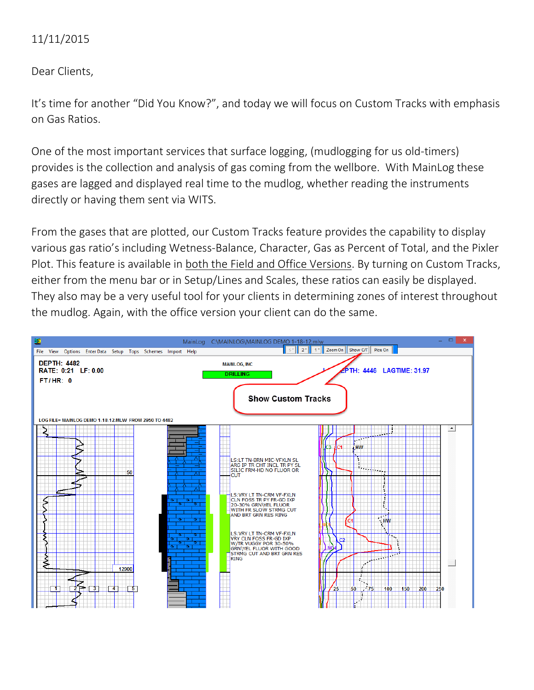## 11/11/2015

Dear Clients,

It's time for another "Did You Know?", and today we will focus on Custom Tracks with emphasis on Gas Ratios.

One of the most important services that surface logging, (mudlogging for us old-timers) provides is the collection and analysis of gas coming from the wellbore. With MainLog these gases are lagged and displayed real time to the mudlog, whether reading the instruments directly or having them sent via WITS.

From the gases that are plotted, our Custom Tracks feature provides the capability to display various gas ratio's including Wetness-Balance, Character, Gas as Percent of Total, and the Pixler Plot. This feature is available in both the Field and Office Versions. By turning on Custom Tracks, either from the menu bar or in Setup/Lines and Scales, these ratios can easily be displayed. They also may be a very useful tool for your clients in determining zones of interest throughout the mudlog. Again, with the office version your client can do the same.

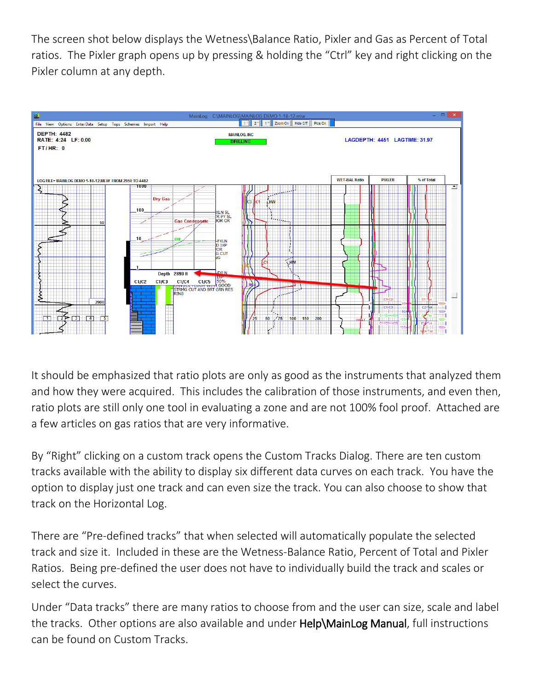The screen shot below displays the Wetness\Balance Ratio, Pixler and Gas as Percent of Total ratios. The Pixler graph opens up by pressing & holding the "Ctrl" key and right clicking on the Pixler column at any depth.



It should be emphasized that ratio plots are only as good as the instruments that analyzed them and how they were acquired. This includes the calibration of those instruments, and even then, ratio plots are still only one tool in evaluating a zone and are not 100% fool proof. Attached are a few articles on gas ratios that are very informative.

By "Right" clicking on a custom track opens the Custom Tracks Dialog. There are ten custom tracks available with the ability to display six different data curves on each track. You have the option to display just one track and can even size the track. You can also choose to show that track on the Horizontal Log.

There are "Pre-defined tracks" that when selected will automatically populate the selected track and size it. Included in these are the Wetness-Balance Ratio, Percent of Total and Pixler Ratios. Being pre-defined the user does not have to individually build the track and scales or select the curves.

Under "Data tracks" there are many ratios to choose from and the user can size, scale and label the tracks. Other options are also available and under Help\MainLog Manual, full instructions can be found on Custom Tracks.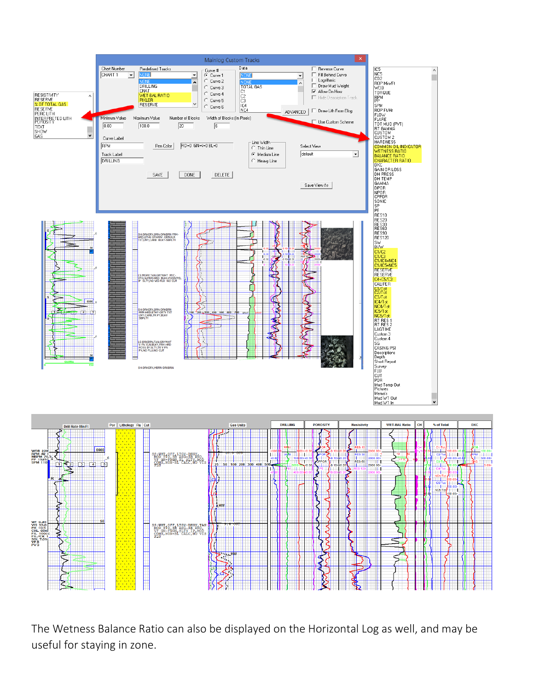

The Wetness Balance Ratio can also be displayed on the Horizontal Log as well, and may be useful for staying in zone.